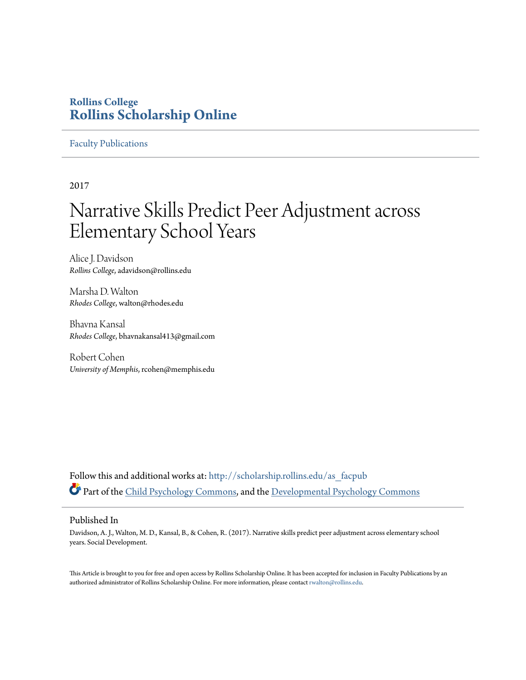## **Rollins College [Rollins Scholarship Online](http://scholarship.rollins.edu?utm_source=scholarship.rollins.edu%2Fas_facpub%2F141&utm_medium=PDF&utm_campaign=PDFCoverPages)**

#### [Faculty Publications](http://scholarship.rollins.edu/as_facpub?utm_source=scholarship.rollins.edu%2Fas_facpub%2F141&utm_medium=PDF&utm_campaign=PDFCoverPages)

2017

# Narrative Skills Predict Peer Adjustment across Elementary School Years

Alice J. Davidson *Rollins College*, adavidson@rollins.edu

Marsha D. Walton *Rhodes College*, walton@rhodes.edu

Bhavna Kansal *Rhodes College*, bhavnakansal413@gmail.com

Robert Cohen *University of Memphis*, rcohen@memphis.edu

Follow this and additional works at: [http://scholarship.rollins.edu/as\\_facpub](http://scholarship.rollins.edu/as_facpub?utm_source=scholarship.rollins.edu%2Fas_facpub%2F141&utm_medium=PDF&utm_campaign=PDFCoverPages) Part of the [Child Psychology Commons](http://network.bepress.com/hgg/discipline/1023?utm_source=scholarship.rollins.edu%2Fas_facpub%2F141&utm_medium=PDF&utm_campaign=PDFCoverPages), and the [Developmental Psychology Commons](http://network.bepress.com/hgg/discipline/410?utm_source=scholarship.rollins.edu%2Fas_facpub%2F141&utm_medium=PDF&utm_campaign=PDFCoverPages)

#### Published In

Davidson, A. J., Walton, M. D., Kansal, B., & Cohen, R. (2017). Narrative skills predict peer adjustment across elementary school years. Social Development.

This Article is brought to you for free and open access by Rollins Scholarship Online. It has been accepted for inclusion in Faculty Publications by an authorized administrator of Rollins Scholarship Online. For more information, please contact [rwalton@rollins.edu](mailto:rwalton@rollins.edu).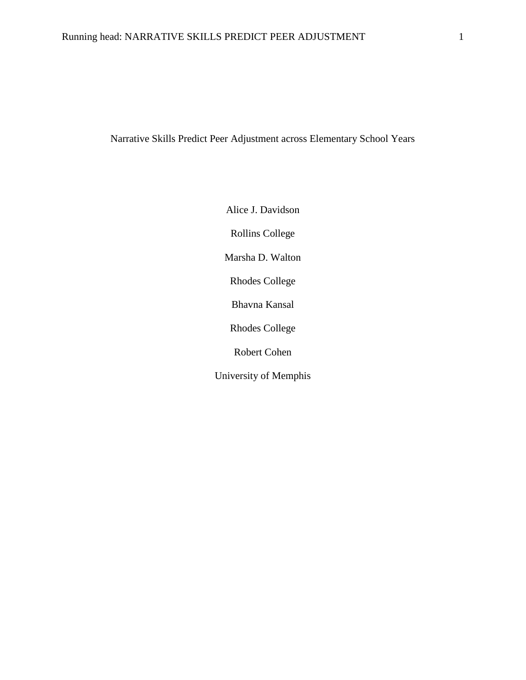## Narrative Skills Predict Peer Adjustment across Elementary School Years

Alice J. Davidson Rollins College Marsha D. Walton Rhodes College Bhavna Kansal Rhodes College Robert Cohen University of Memphis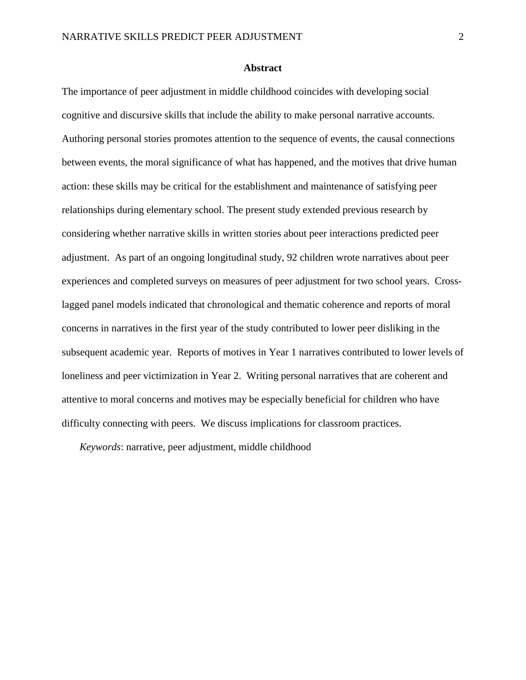#### **Abstract**

The importance of peer adjustment in middle childhood coincides with developing social cognitive and discursive skills that include the ability to make personal narrative accounts. Authoring personal stories promotes attention to the sequence of events, the causal connections between events, the moral significance of what has happened, and the motives that drive human action: these skills may be critical for the establishment and maintenance of satisfying peer relationships during elementary school. The present study extended previous research by considering whether narrative skills in written stories about peer interactions predicted peer adjustment. As part of an ongoing longitudinal study, 92 children wrote narratives about peer experiences and completed surveys on measures of peer adjustment for two school years. Crosslagged panel models indicated that chronological and thematic coherence and reports of moral concerns in narratives in the first year of the study contributed to lower peer disliking in the subsequent academic year. Reports of motives in Year 1 narratives contributed to lower levels of loneliness and peer victimization in Year 2. Writing personal narratives that are coherent and attentive to moral concerns and motives may be especially beneficial for children who have difficulty connecting with peers. We discuss implications for classroom practices.

*Keywords*: narrative, peer adjustment, middle childhood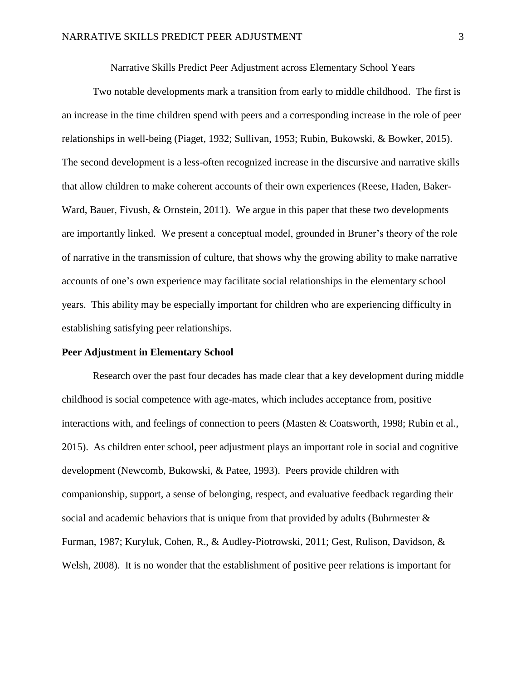Narrative Skills Predict Peer Adjustment across Elementary School Years

Two notable developments mark a transition from early to middle childhood. The first is an increase in the time children spend with peers and a corresponding increase in the role of peer relationships in well-being (Piaget, 1932; Sullivan, 1953; Rubin, Bukowski, & Bowker, 2015). The second development is a less-often recognized increase in the discursive and narrative skills that allow children to make coherent accounts of their own experiences (Reese, Haden, Baker-Ward, Bauer, Fivush, & Ornstein, 2011). We argue in this paper that these two developments are importantly linked. We present a conceptual model, grounded in Bruner's theory of the role of narrative in the transmission of culture, that shows why the growing ability to make narrative accounts of one's own experience may facilitate social relationships in the elementary school years. This ability may be especially important for children who are experiencing difficulty in establishing satisfying peer relationships.

#### **Peer Adjustment in Elementary School**

Research over the past four decades has made clear that a key development during middle childhood is social competence with age-mates, which includes acceptance from, positive interactions with, and feelings of connection to peers (Masten & Coatsworth, 1998; Rubin et al., 2015). As children enter school, peer adjustment plays an important role in social and cognitive development (Newcomb, Bukowski, & Patee, 1993). Peers provide children with companionship, support, a sense of belonging, respect, and evaluative feedback regarding their social and academic behaviors that is unique from that provided by adults (Buhrmester  $\&$ Furman, 1987; Kuryluk, Cohen, R., & Audley-Piotrowski, 2011; Gest, Rulison, Davidson, & Welsh, 2008). It is no wonder that the establishment of positive peer relations is important for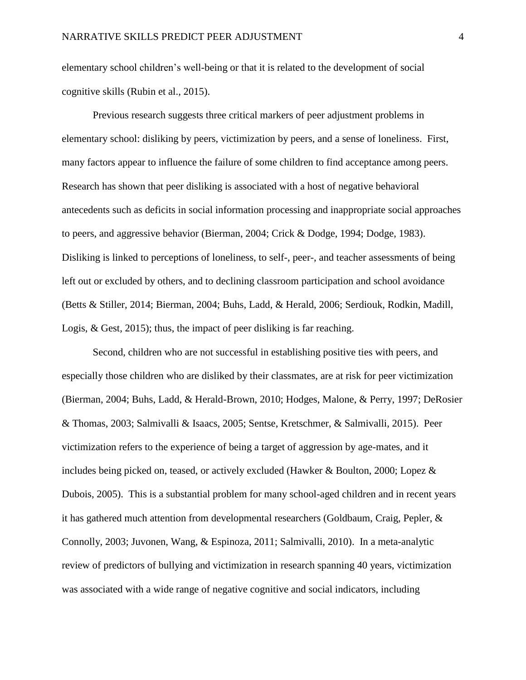elementary school children's well-being or that it is related to the development of social cognitive skills (Rubin et al., 2015).

Previous research suggests three critical markers of peer adjustment problems in elementary school: disliking by peers, victimization by peers, and a sense of loneliness. First, many factors appear to influence the failure of some children to find acceptance among peers. Research has shown that peer disliking is associated with a host of negative behavioral antecedents such as deficits in social information processing and inappropriate social approaches to peers, and aggressive behavior (Bierman, 2004; Crick & Dodge, 1994; Dodge, 1983). Disliking is linked to perceptions of loneliness, to self-, peer-, and teacher assessments of being left out or excluded by others, and to declining classroom participation and school avoidance (Betts & Stiller, 2014; Bierman, 2004; Buhs, Ladd, & Herald, 2006; Serdiouk, Rodkin, Madill, Logis, & Gest, 2015); thus, the impact of peer disliking is far reaching.

Second, children who are not successful in establishing positive ties with peers, and especially those children who are disliked by their classmates, are at risk for peer victimization (Bierman, 2004; Buhs, Ladd, & Herald-Brown, 2010; Hodges, Malone, & Perry, 1997; DeRosier & Thomas, 2003; Salmivalli & Isaacs, 2005; Sentse, Kretschmer, & Salmivalli, 2015). Peer victimization refers to the experience of being a target of aggression by age-mates, and it includes being picked on, teased, or actively excluded (Hawker & Boulton, 2000; Lopez & Dubois, 2005). This is a substantial problem for many school-aged children and in recent years it has gathered much attention from developmental researchers (Goldbaum, Craig, Pepler, & Connolly, 2003; Juvonen, Wang, & Espinoza, 2011; Salmivalli, 2010). In a meta-analytic review of predictors of bullying and victimization in research spanning 40 years, victimization was associated with a wide range of negative cognitive and social indicators, including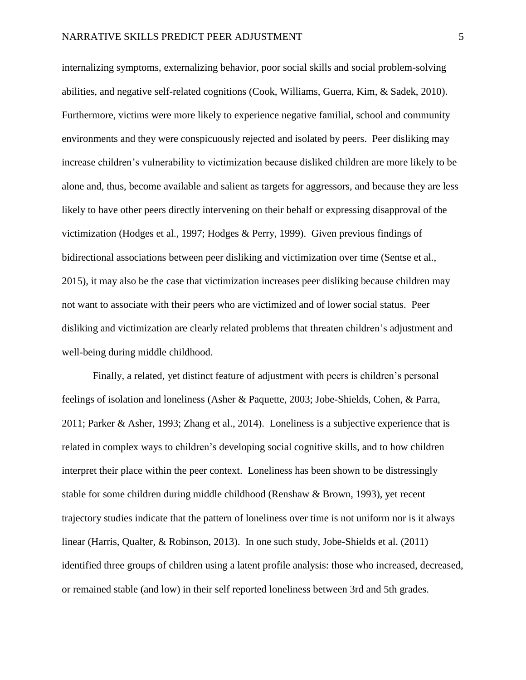internalizing symptoms, externalizing behavior, poor social skills and social problem-solving abilities, and negative self-related cognitions (Cook, Williams, Guerra, Kim, & Sadek, 2010). Furthermore, victims were more likely to experience negative familial, school and community environments and they were conspicuously rejected and isolated by peers. Peer disliking may increase children's vulnerability to victimization because disliked children are more likely to be alone and, thus, become available and salient as targets for aggressors, and because they are less likely to have other peers directly intervening on their behalf or expressing disapproval of the victimization (Hodges et al., 1997; Hodges & Perry, 1999). Given previous findings of bidirectional associations between peer disliking and victimization over time (Sentse et al., 2015), it may also be the case that victimization increases peer disliking because children may not want to associate with their peers who are victimized and of lower social status. Peer disliking and victimization are clearly related problems that threaten children's adjustment and well-being during middle childhood.

Finally, a related, yet distinct feature of adjustment with peers is children's personal feelings of isolation and loneliness (Asher & Paquette, 2003; Jobe-Shields, Cohen, & Parra, 2011; Parker & Asher, 1993; Zhang et al., 2014). Loneliness is a subjective experience that is related in complex ways to children's developing social cognitive skills, and to how children interpret their place within the peer context. Loneliness has been shown to be distressingly stable for some children during middle childhood (Renshaw & Brown, 1993), yet recent trajectory studies indicate that the pattern of loneliness over time is not uniform nor is it always linear (Harris, Qualter, & Robinson, 2013). In one such study, Jobe-Shields et al. (2011) identified three groups of children using a latent profile analysis: those who increased, decreased, or remained stable (and low) in their self reported loneliness between 3rd and 5th grades.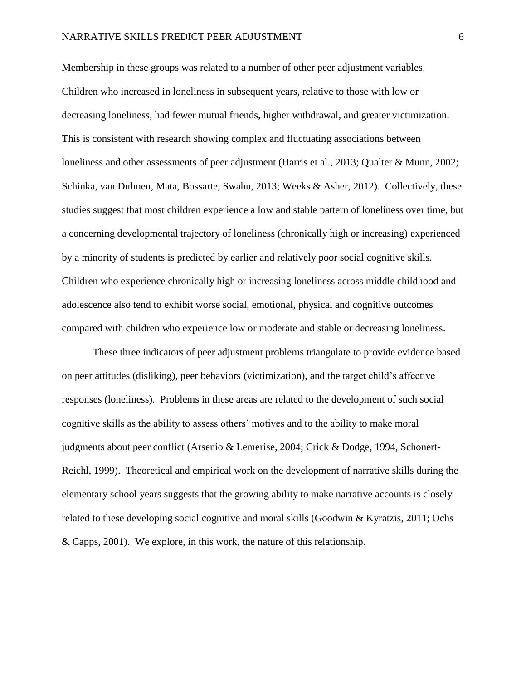Membership in these groups was related to a number of other peer adjustment variables. Children who increased in loneliness in subsequent years, relative to those with low or decreasing loneliness, had fewer mutual friends, higher withdrawal, and greater victimization. This is consistent with research showing complex and fluctuating associations between loneliness and other assessments of peer adjustment (Harris et al., 2013; Qualter & Munn, 2002; Schinka, van Dulmen, Mata, Bossarte, Swahn, 2013; Weeks & Asher, 2012). Collectively, these studies suggest that most children experience a low and stable pattern of loneliness over time, but a concerning developmental trajectory of loneliness (chronically high or increasing) experienced by a minority of students is predicted by earlier and relatively poor social cognitive skills. Children who experience chronically high or increasing loneliness across middle childhood and adolescence also tend to exhibit worse social, emotional, physical and cognitive outcomes compared with children who experience low or moderate and stable or decreasing loneliness.

These three indicators of peer adjustment problems triangulate to provide evidence based on peer attitudes (disliking), peer behaviors (victimization), and the target child's affective responses (loneliness). Problems in these areas are related to the development of such social cognitive skills as the ability to assess others' motives and to the ability to make moral judgments about peer conflict (Arsenio & Lemerise, 2004; Crick & Dodge, 1994, Schonert-Reichl, 1999). Theoretical and empirical work on the development of narrative skills during the elementary school years suggests that the growing ability to make narrative accounts is closely related to these developing social cognitive and moral skills (Goodwin & Kyratzis, 2011; Ochs & Capps, 2001). We explore, in this work, the nature of this relationship.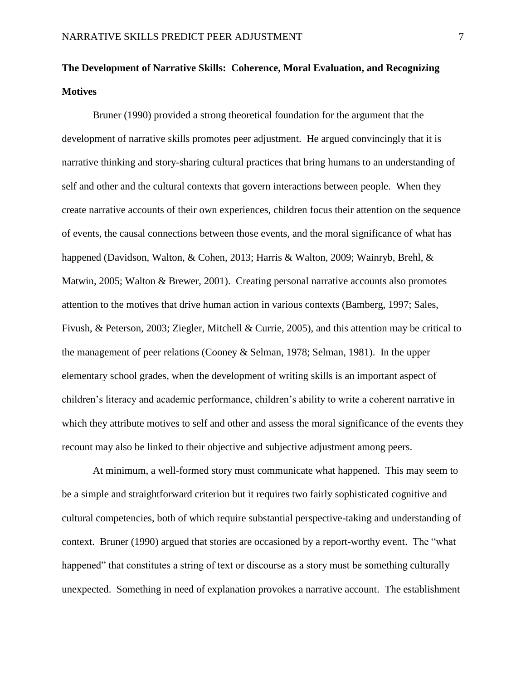## **The Development of Narrative Skills: Coherence, Moral Evaluation, and Recognizing Motives**

Bruner (1990) provided a strong theoretical foundation for the argument that the development of narrative skills promotes peer adjustment. He argued convincingly that it is narrative thinking and story-sharing cultural practices that bring humans to an understanding of self and other and the cultural contexts that govern interactions between people. When they create narrative accounts of their own experiences, children focus their attention on the sequence of events, the causal connections between those events, and the moral significance of what has happened (Davidson, Walton, & Cohen, 2013; Harris & Walton, 2009; Wainryb, Brehl, & Matwin, 2005; Walton & Brewer, 2001). Creating personal narrative accounts also promotes attention to the motives that drive human action in various contexts (Bamberg, 1997; Sales, Fivush, & Peterson, 2003; Ziegler, Mitchell & Currie, 2005), and this attention may be critical to the management of peer relations (Cooney & Selman, 1978; Selman, 1981). In the upper elementary school grades, when the development of writing skills is an important aspect of children's literacy and academic performance, children's ability to write a coherent narrative in which they attribute motives to self and other and assess the moral significance of the events they recount may also be linked to their objective and subjective adjustment among peers.

At minimum, a well-formed story must communicate what happened. This may seem to be a simple and straightforward criterion but it requires two fairly sophisticated cognitive and cultural competencies, both of which require substantial perspective-taking and understanding of context. Bruner (1990) argued that stories are occasioned by a report-worthy event. The "what happened" that constitutes a string of text or discourse as a story must be something culturally unexpected. Something in need of explanation provokes a narrative account. The establishment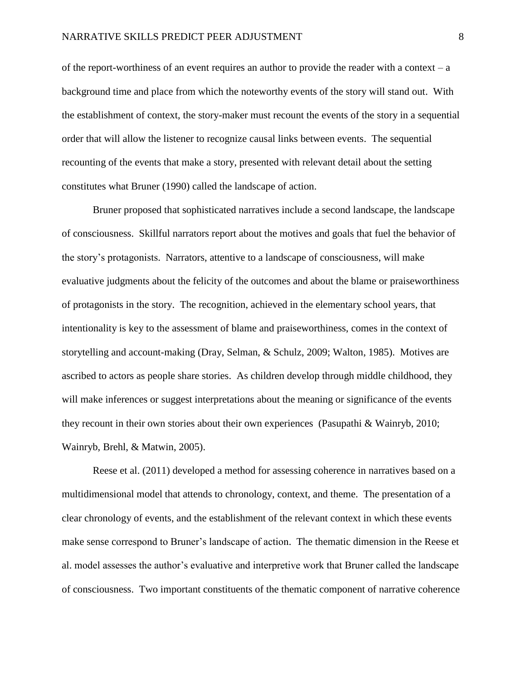of the report-worthiness of an event requires an author to provide the reader with a context – a background time and place from which the noteworthy events of the story will stand out. With the establishment of context, the story-maker must recount the events of the story in a sequential order that will allow the listener to recognize causal links between events. The sequential recounting of the events that make a story, presented with relevant detail about the setting constitutes what Bruner (1990) called the landscape of action.

Bruner proposed that sophisticated narratives include a second landscape, the landscape of consciousness. Skillful narrators report about the motives and goals that fuel the behavior of the story's protagonists. Narrators, attentive to a landscape of consciousness, will make evaluative judgments about the felicity of the outcomes and about the blame or praiseworthiness of protagonists in the story. The recognition, achieved in the elementary school years, that intentionality is key to the assessment of blame and praiseworthiness, comes in the context of storytelling and account-making (Dray, Selman, & Schulz, 2009; Walton, 1985). Motives are ascribed to actors as people share stories. As children develop through middle childhood, they will make inferences or suggest interpretations about the meaning or significance of the events they recount in their own stories about their own experiences (Pasupathi & Wainryb, 2010; Wainryb, Brehl, & Matwin, 2005).

Reese et al. (2011) developed a method for assessing coherence in narratives based on a multidimensional model that attends to chronology, context, and theme. The presentation of a clear chronology of events, and the establishment of the relevant context in which these events make sense correspond to Bruner's landscape of action. The thematic dimension in the Reese et al. model assesses the author's evaluative and interpretive work that Bruner called the landscape of consciousness. Two important constituents of the thematic component of narrative coherence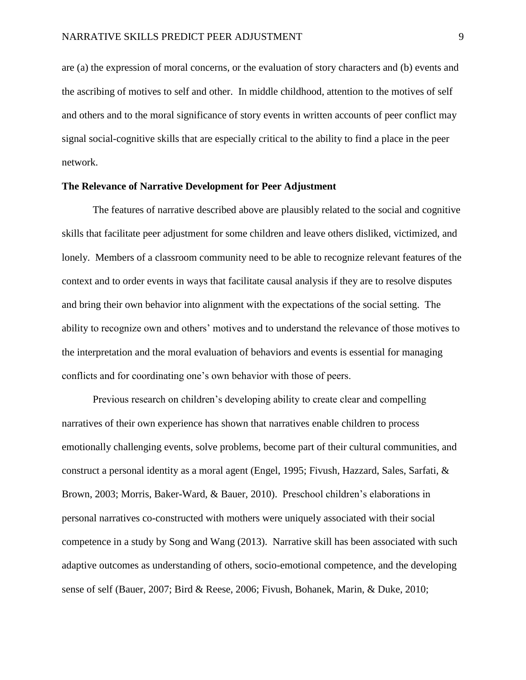are (a) the expression of moral concerns, or the evaluation of story characters and (b) events and the ascribing of motives to self and other. In middle childhood, attention to the motives of self and others and to the moral significance of story events in written accounts of peer conflict may signal social-cognitive skills that are especially critical to the ability to find a place in the peer network.

#### **The Relevance of Narrative Development for Peer Adjustment**

The features of narrative described above are plausibly related to the social and cognitive skills that facilitate peer adjustment for some children and leave others disliked, victimized, and lonely. Members of a classroom community need to be able to recognize relevant features of the context and to order events in ways that facilitate causal analysis if they are to resolve disputes and bring their own behavior into alignment with the expectations of the social setting. The ability to recognize own and others' motives and to understand the relevance of those motives to the interpretation and the moral evaluation of behaviors and events is essential for managing conflicts and for coordinating one's own behavior with those of peers.

Previous research on children's developing ability to create clear and compelling narratives of their own experience has shown that narratives enable children to process emotionally challenging events, solve problems, become part of their cultural communities, and construct a personal identity as a moral agent (Engel, 1995; Fivush, Hazzard, Sales, Sarfati, & Brown, 2003; Morris, Baker-Ward, & Bauer, 2010). Preschool children's elaborations in personal narratives co-constructed with mothers were uniquely associated with their social competence in a study by Song and Wang (2013). Narrative skill has been associated with such adaptive outcomes as understanding of others, socio-emotional competence, and the developing sense of self (Bauer, 2007; Bird & Reese, 2006; Fivush, Bohanek, Marin, & Duke, 2010;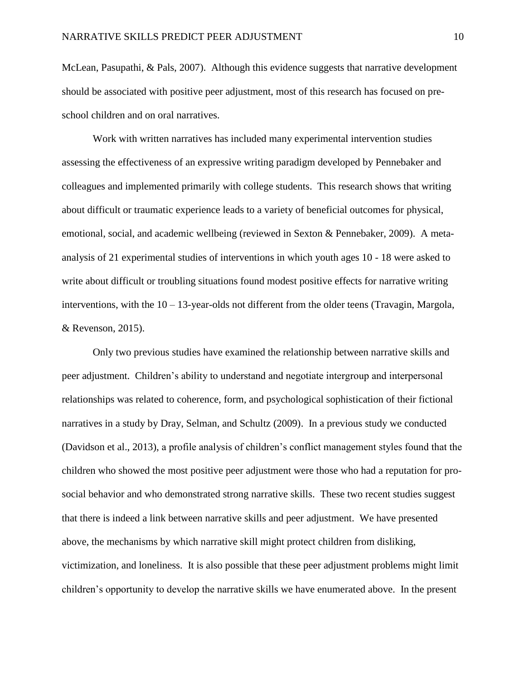McLean, Pasupathi, & Pals, 2007). Although this evidence suggests that narrative development should be associated with positive peer adjustment, most of this research has focused on preschool children and on oral narratives.

Work with written narratives has included many experimental intervention studies assessing the effectiveness of an expressive writing paradigm developed by Pennebaker and colleagues and implemented primarily with college students. This research shows that writing about difficult or traumatic experience leads to a variety of beneficial outcomes for physical, emotional, social, and academic wellbeing (reviewed in Sexton & Pennebaker, 2009). A metaanalysis of 21 experimental studies of interventions in which youth ages 10 - 18 were asked to write about difficult or troubling situations found modest positive effects for narrative writing interventions, with the  $10 - 13$ -year-olds not different from the older teens (Travagin, Margola, & Revenson, 2015).

Only two previous studies have examined the relationship between narrative skills and peer adjustment. Children's ability to understand and negotiate intergroup and interpersonal relationships was related to coherence, form, and psychological sophistication of their fictional narratives in a study by Dray, Selman, and Schultz (2009). In a previous study we conducted (Davidson et al., 2013), a profile analysis of children's conflict management styles found that the children who showed the most positive peer adjustment were those who had a reputation for prosocial behavior and who demonstrated strong narrative skills. These two recent studies suggest that there is indeed a link between narrative skills and peer adjustment. We have presented above, the mechanisms by which narrative skill might protect children from disliking, victimization, and loneliness. It is also possible that these peer adjustment problems might limit children's opportunity to develop the narrative skills we have enumerated above. In the present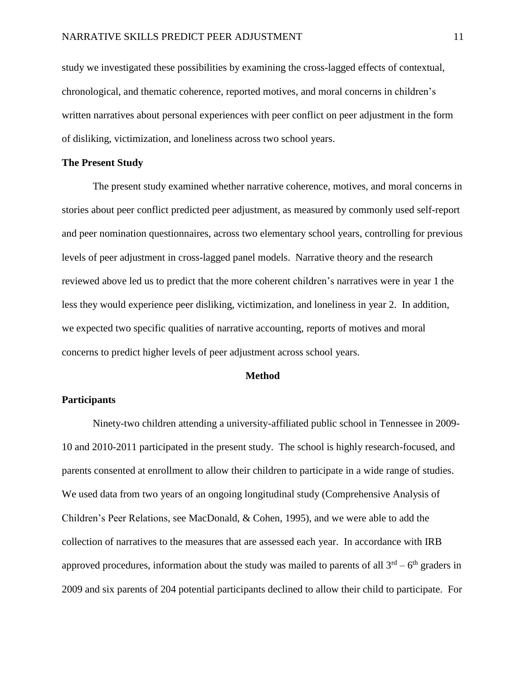study we investigated these possibilities by examining the cross-lagged effects of contextual, chronological, and thematic coherence, reported motives, and moral concerns in children's written narratives about personal experiences with peer conflict on peer adjustment in the form of disliking, victimization, and loneliness across two school years.

#### **The Present Study**

The present study examined whether narrative coherence, motives, and moral concerns in stories about peer conflict predicted peer adjustment, as measured by commonly used self-report and peer nomination questionnaires, across two elementary school years, controlling for previous levels of peer adjustment in cross-lagged panel models. Narrative theory and the research reviewed above led us to predict that the more coherent children's narratives were in year 1 the less they would experience peer disliking, victimization, and loneliness in year 2. In addition, we expected two specific qualities of narrative accounting, reports of motives and moral concerns to predict higher levels of peer adjustment across school years.

#### **Method**

#### **Participants**

Ninety-two children attending a university-affiliated public school in Tennessee in 2009- 10 and 2010-2011 participated in the present study. The school is highly research-focused, and parents consented at enrollment to allow their children to participate in a wide range of studies. We used data from two years of an ongoing longitudinal study (Comprehensive Analysis of Children's Peer Relations, see MacDonald, & Cohen, 1995), and we were able to add the collection of narratives to the measures that are assessed each year. In accordance with IRB approved procedures, information about the study was mailed to parents of all  $3<sup>rd</sup> - 6<sup>th</sup>$  graders in 2009 and six parents of 204 potential participants declined to allow their child to participate. For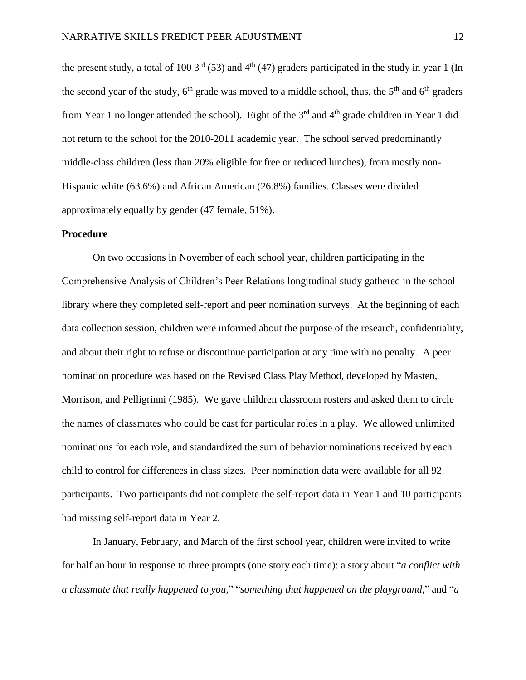the present study, a total of 100  $3<sup>rd</sup>$  (53) and  $4<sup>th</sup>$  (47) graders participated in the study in year 1 (In the second year of the study,  $6<sup>th</sup>$  grade was moved to a middle school, thus, the  $5<sup>th</sup>$  and  $6<sup>th</sup>$  graders from Year 1 no longer attended the school). Eight of the  $3<sup>rd</sup>$  and  $4<sup>th</sup>$  grade children in Year 1 did not return to the school for the 2010-2011 academic year. The school served predominantly middle-class children (less than 20% eligible for free or reduced lunches), from mostly non-Hispanic white (63.6%) and African American (26.8%) families. Classes were divided approximately equally by gender (47 female, 51%).

#### **Procedure**

On two occasions in November of each school year, children participating in the Comprehensive Analysis of Children's Peer Relations longitudinal study gathered in the school library where they completed self-report and peer nomination surveys. At the beginning of each data collection session, children were informed about the purpose of the research, confidentiality, and about their right to refuse or discontinue participation at any time with no penalty. A peer nomination procedure was based on the Revised Class Play Method, developed by Masten, Morrison, and Pelligrinni (1985). We gave children classroom rosters and asked them to circle the names of classmates who could be cast for particular roles in a play. We allowed unlimited nominations for each role, and standardized the sum of behavior nominations received by each child to control for differences in class sizes. Peer nomination data were available for all 92 participants. Two participants did not complete the self-report data in Year 1 and 10 participants had missing self-report data in Year 2.

In January, February, and March of the first school year, children were invited to write for half an hour in response to three prompts (one story each time): a story about "*a conflict with a classmate that really happened to you*," "*something that happened on the playground*," and "*a*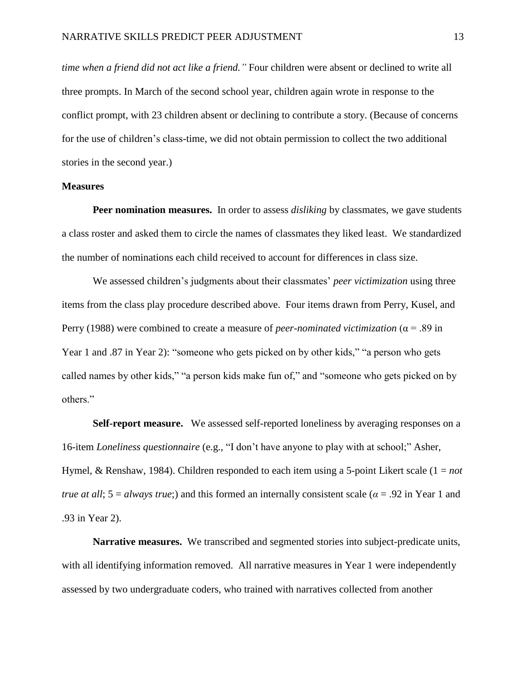*time when a friend did not act like a friend."* Four children were absent or declined to write all three prompts. In March of the second school year, children again wrote in response to the conflict prompt, with 23 children absent or declining to contribute a story. (Because of concerns for the use of children's class-time, we did not obtain permission to collect the two additional stories in the second year.)

#### **Measures**

**Peer nomination measures.** In order to assess *disliking* by classmates, we gave students a class roster and asked them to circle the names of classmates they liked least. We standardized the number of nominations each child received to account for differences in class size.

We assessed children's judgments about their classmates' *peer victimization* using three items from the class play procedure described above. Four items drawn from Perry, Kusel, and Perry (1988) were combined to create a measure of *peer-nominated victimization* (α = .89 in Year 1 and .87 in Year 2): "someone who gets picked on by other kids," "a person who gets called names by other kids," "a person kids make fun of," and "someone who gets picked on by others."

**Self-report measure.** We assessed self-reported loneliness by averaging responses on a 16-item *Loneliness questionnaire* (e.g., "I don't have anyone to play with at school;" Asher, Hymel, & Renshaw, 1984). Children responded to each item using a 5-point Likert scale (1 = *not true at all*;  $5 = \frac{a}{w}$  *are*; and this formed an internally consistent scale ( $\alpha = .92$  in Year 1 and .93 in Year 2).

**Narrative measures.** We transcribed and segmented stories into subject-predicate units, with all identifying information removed. All narrative measures in Year 1 were independently assessed by two undergraduate coders, who trained with narratives collected from another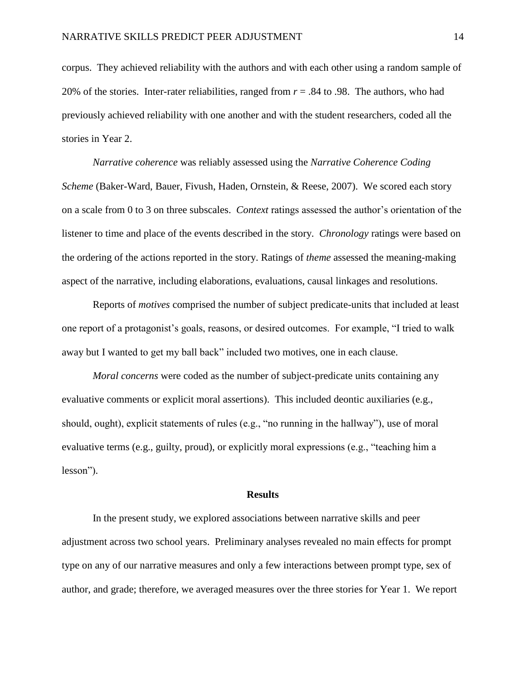corpus. They achieved reliability with the authors and with each other using a random sample of 20% of the stories. Inter-rater reliabilities, ranged from  $r = .84$  to .98. The authors, who had previously achieved reliability with one another and with the student researchers, coded all the stories in Year 2.

*Narrative coherence* was reliably assessed using the *Narrative Coherence Coding Scheme* (Baker-Ward, Bauer, Fivush, Haden, Ornstein, & Reese, 2007). We scored each story on a scale from 0 to 3 on three subscales. *Context* ratings assessed the author's orientation of the listener to time and place of the events described in the story. *Chronology* ratings were based on the ordering of the actions reported in the story. Ratings of *theme* assessed the meaning-making aspect of the narrative, including elaborations, evaluations, causal linkages and resolutions.

Reports of *motives* comprised the number of subject predicate-units that included at least one report of a protagonist's goals, reasons, or desired outcomes. For example, "I tried to walk away but I wanted to get my ball back" included two motives, one in each clause.

*Moral concerns* were coded as the number of subject-predicate units containing any evaluative comments or explicit moral assertions). This included deontic auxiliaries (e.g., should, ought), explicit statements of rules (e.g., "no running in the hallway"), use of moral evaluative terms (e.g., guilty, proud), or explicitly moral expressions (e.g., "teaching him a lesson").

#### **Results**

In the present study, we explored associations between narrative skills and peer adjustment across two school years. Preliminary analyses revealed no main effects for prompt type on any of our narrative measures and only a few interactions between prompt type, sex of author, and grade; therefore, we averaged measures over the three stories for Year 1. We report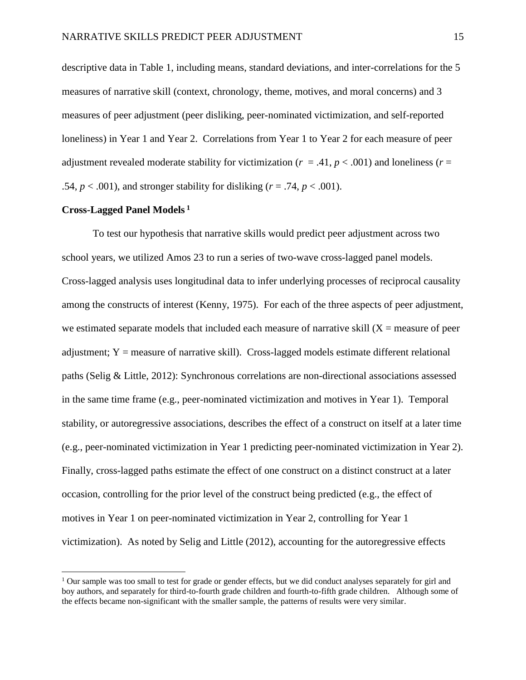descriptive data in Table 1, including means, standard deviations, and inter-correlations for the 5 measures of narrative skill (context, chronology, theme, motives, and moral concerns) and 3 measures of peer adjustment (peer disliking, peer-nominated victimization, and self-reported loneliness) in Year 1 and Year 2. Correlations from Year 1 to Year 2 for each measure of peer adjustment revealed moderate stability for victimization ( $r = .41$ ,  $p < .001$ ) and loneliness ( $r =$ .54,  $p < .001$ ), and stronger stability for disliking ( $r = .74$ ,  $p < .001$ ).

#### **Cross-Lagged Panel Models <sup>1</sup>**

 $\overline{a}$ 

To test our hypothesis that narrative skills would predict peer adjustment across two school years, we utilized Amos 23 to run a series of two-wave cross-lagged panel models. Cross-lagged analysis uses longitudinal data to infer underlying processes of reciprocal causality among the constructs of interest (Kenny, 1975). For each of the three aspects of peer adjustment, we estimated separate models that included each measure of narrative skill  $(X =$  measure of peer adjustment;  $Y =$  measure of narrative skill). Cross-lagged models estimate different relational paths (Selig & Little, 2012): Synchronous correlations are non-directional associations assessed in the same time frame (e.g., peer-nominated victimization and motives in Year 1). Temporal stability, or autoregressive associations, describes the effect of a construct on itself at a later time (e.g., peer-nominated victimization in Year 1 predicting peer-nominated victimization in Year 2). Finally, cross-lagged paths estimate the effect of one construct on a distinct construct at a later occasion, controlling for the prior level of the construct being predicted (e.g., the effect of motives in Year 1 on peer-nominated victimization in Year 2, controlling for Year 1 victimization). As noted by Selig and Little (2012), accounting for the autoregressive effects

<sup>&</sup>lt;sup>1</sup> Our sample was too small to test for grade or gender effects, but we did conduct analyses separately for girl and boy authors, and separately for third-to-fourth grade children and fourth-to-fifth grade children. Although some of the effects became non-significant with the smaller sample, the patterns of results were very similar.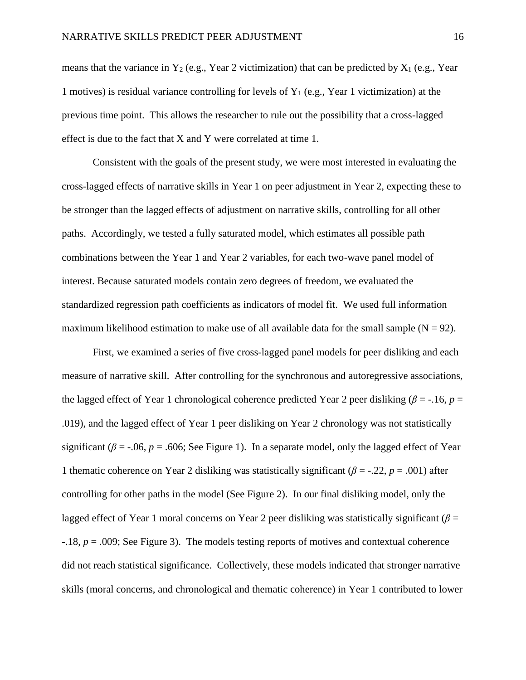means that the variance in  $Y_2$  (e.g., Year 2 victimization) that can be predicted by  $X_1$  (e.g., Year 1 motives) is residual variance controlling for levels of  $Y_1$  (e.g., Year 1 victimization) at the previous time point. This allows the researcher to rule out the possibility that a cross-lagged effect is due to the fact that X and Y were correlated at time 1.

Consistent with the goals of the present study, we were most interested in evaluating the cross-lagged effects of narrative skills in Year 1 on peer adjustment in Year 2, expecting these to be stronger than the lagged effects of adjustment on narrative skills, controlling for all other paths. Accordingly, we tested a fully saturated model, which estimates all possible path combinations between the Year 1 and Year 2 variables, for each two-wave panel model of interest. Because saturated models contain zero degrees of freedom, we evaluated the standardized regression path coefficients as indicators of model fit. We used full information maximum likelihood estimation to make use of all available data for the small sample  $(N = 92)$ .

First, we examined a series of five cross-lagged panel models for peer disliking and each measure of narrative skill. After controlling for the synchronous and autoregressive associations, the lagged effect of Year 1 chronological coherence predicted Year 2 peer disliking ( $\beta$  = -.16, *p* = .019), and the lagged effect of Year 1 peer disliking on Year 2 chronology was not statistically significant ( $\beta$  = -.06,  $p$  = .606; See Figure 1). In a separate model, only the lagged effect of Year 1 thematic coherence on Year 2 disliking was statistically significant ( $\beta$  = -.22,  $p$  = .001) after controlling for other paths in the model (See Figure 2). In our final disliking model, only the lagged effect of Year 1 moral concerns on Year 2 peer disliking was statistically significant (*β* = -.18, *p* = .009; See Figure 3). The models testing reports of motives and contextual coherence did not reach statistical significance. Collectively, these models indicated that stronger narrative skills (moral concerns, and chronological and thematic coherence) in Year 1 contributed to lower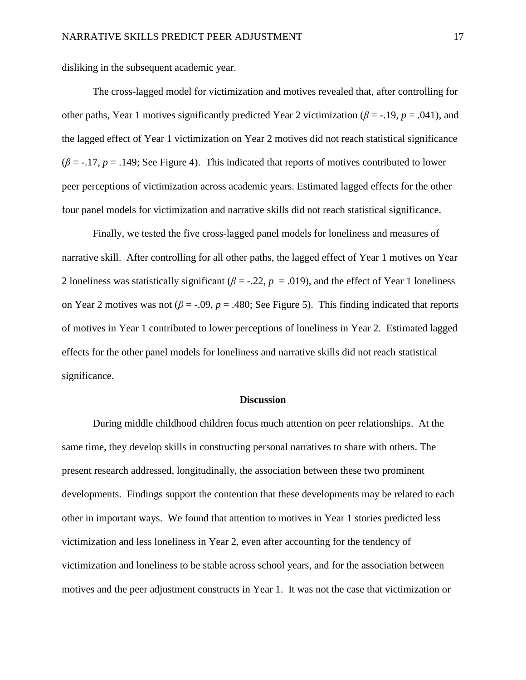disliking in the subsequent academic year.

The cross-lagged model for victimization and motives revealed that, after controlling for other paths, Year 1 motives significantly predicted Year 2 victimization ( $\beta$  = -.19,  $p$  = .041), and the lagged effect of Year 1 victimization on Year 2 motives did not reach statistical significance  $(\beta = -17, p = .149;$  See Figure 4). This indicated that reports of motives contributed to lower peer perceptions of victimization across academic years. Estimated lagged effects for the other four panel models for victimization and narrative skills did not reach statistical significance.

Finally, we tested the five cross-lagged panel models for loneliness and measures of narrative skill. After controlling for all other paths, the lagged effect of Year 1 motives on Year 2 loneliness was statistically significant ( $\beta$  = -.22,  $p$  = .019), and the effect of Year 1 loneliness on Year 2 motives was not  $(\beta = -0.09, p = 0.480)$ ; See Figure 5). This finding indicated that reports of motives in Year 1 contributed to lower perceptions of loneliness in Year 2. Estimated lagged effects for the other panel models for loneliness and narrative skills did not reach statistical significance.

#### **Discussion**

During middle childhood children focus much attention on peer relationships. At the same time, they develop skills in constructing personal narratives to share with others. The present research addressed, longitudinally, the association between these two prominent developments. Findings support the contention that these developments may be related to each other in important ways. We found that attention to motives in Year 1 stories predicted less victimization and less loneliness in Year 2, even after accounting for the tendency of victimization and loneliness to be stable across school years, and for the association between motives and the peer adjustment constructs in Year 1. It was not the case that victimization or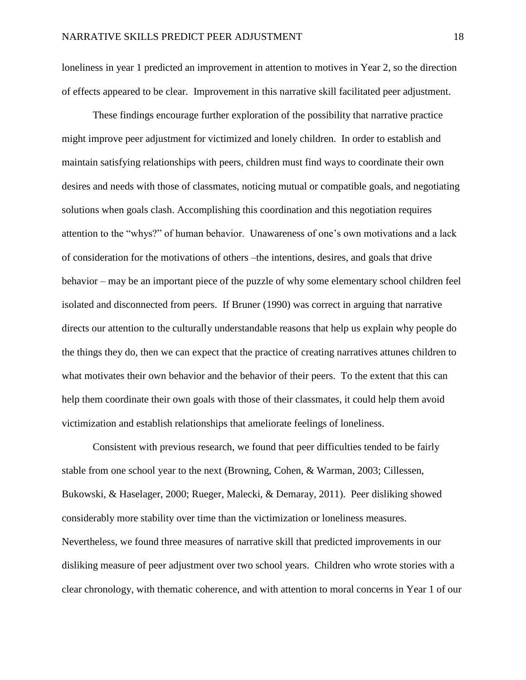loneliness in year 1 predicted an improvement in attention to motives in Year 2, so the direction of effects appeared to be clear. Improvement in this narrative skill facilitated peer adjustment.

These findings encourage further exploration of the possibility that narrative practice might improve peer adjustment for victimized and lonely children. In order to establish and maintain satisfying relationships with peers, children must find ways to coordinate their own desires and needs with those of classmates, noticing mutual or compatible goals, and negotiating solutions when goals clash. Accomplishing this coordination and this negotiation requires attention to the "whys?" of human behavior. Unawareness of one's own motivations and a lack of consideration for the motivations of others –the intentions, desires, and goals that drive behavior – may be an important piece of the puzzle of why some elementary school children feel isolated and disconnected from peers. If Bruner (1990) was correct in arguing that narrative directs our attention to the culturally understandable reasons that help us explain why people do the things they do, then we can expect that the practice of creating narratives attunes children to what motivates their own behavior and the behavior of their peers. To the extent that this can help them coordinate their own goals with those of their classmates, it could help them avoid victimization and establish relationships that ameliorate feelings of loneliness.

Consistent with previous research, we found that peer difficulties tended to be fairly stable from one school year to the next (Browning, Cohen, & Warman, 2003; Cillessen, Bukowski, & Haselager, 2000; Rueger, Malecki, & Demaray, 2011). Peer disliking showed considerably more stability over time than the victimization or loneliness measures. Nevertheless, we found three measures of narrative skill that predicted improvements in our disliking measure of peer adjustment over two school years. Children who wrote stories with a clear chronology, with thematic coherence, and with attention to moral concerns in Year 1 of our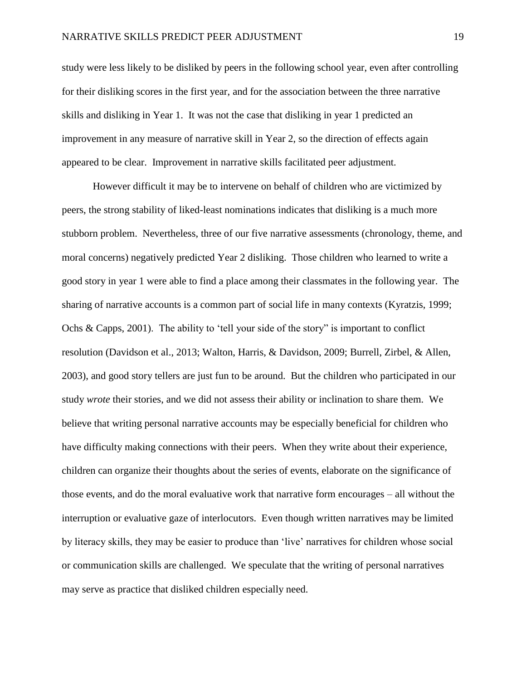study were less likely to be disliked by peers in the following school year, even after controlling for their disliking scores in the first year, and for the association between the three narrative skills and disliking in Year 1. It was not the case that disliking in year 1 predicted an improvement in any measure of narrative skill in Year 2, so the direction of effects again appeared to be clear. Improvement in narrative skills facilitated peer adjustment.

However difficult it may be to intervene on behalf of children who are victimized by peers, the strong stability of liked-least nominations indicates that disliking is a much more stubborn problem. Nevertheless, three of our five narrative assessments (chronology, theme, and moral concerns) negatively predicted Year 2 disliking. Those children who learned to write a good story in year 1 were able to find a place among their classmates in the following year. The sharing of narrative accounts is a common part of social life in many contexts (Kyratzis, 1999; Ochs & Capps, 2001). The ability to 'tell your side of the story" is important to conflict resolution (Davidson et al., 2013; Walton, Harris, & Davidson, 2009; Burrell, Zirbel, & Allen, 2003), and good story tellers are just fun to be around. But the children who participated in our study *wrote* their stories, and we did not assess their ability or inclination to share them. We believe that writing personal narrative accounts may be especially beneficial for children who have difficulty making connections with their peers. When they write about their experience, children can organize their thoughts about the series of events, elaborate on the significance of those events, and do the moral evaluative work that narrative form encourages – all without the interruption or evaluative gaze of interlocutors. Even though written narratives may be limited by literacy skills, they may be easier to produce than 'live' narratives for children whose social or communication skills are challenged. We speculate that the writing of personal narratives may serve as practice that disliked children especially need.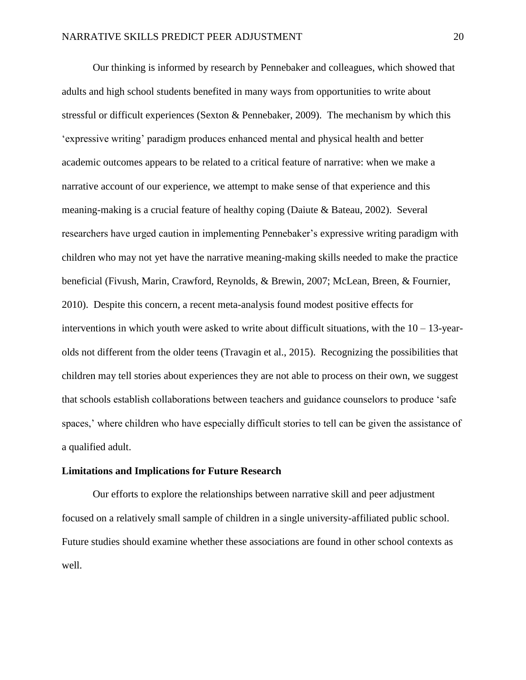Our thinking is informed by research by Pennebaker and colleagues, which showed that adults and high school students benefited in many ways from opportunities to write about stressful or difficult experiences (Sexton & Pennebaker, 2009). The mechanism by which this 'expressive writing' paradigm produces enhanced mental and physical health and better academic outcomes appears to be related to a critical feature of narrative: when we make a narrative account of our experience, we attempt to make sense of that experience and this meaning-making is a crucial feature of healthy coping (Daiute & Bateau, 2002). Several researchers have urged caution in implementing Pennebaker's expressive writing paradigm with children who may not yet have the narrative meaning-making skills needed to make the practice beneficial (Fivush, Marin, Crawford, Reynolds, & Brewin, 2007; McLean, Breen, & Fournier, 2010). Despite this concern, a recent meta-analysis found modest positive effects for interventions in which youth were asked to write about difficult situations, with the  $10 - 13$ -yearolds not different from the older teens (Travagin et al., 2015). Recognizing the possibilities that children may tell stories about experiences they are not able to process on their own, we suggest that schools establish collaborations between teachers and guidance counselors to produce 'safe spaces,' where children who have especially difficult stories to tell can be given the assistance of a qualified adult.

#### **Limitations and Implications for Future Research**

Our efforts to explore the relationships between narrative skill and peer adjustment focused on a relatively small sample of children in a single university-affiliated public school. Future studies should examine whether these associations are found in other school contexts as well.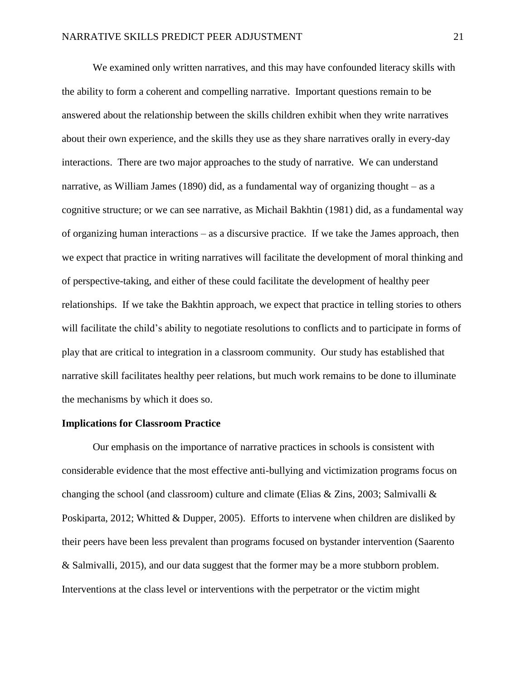We examined only written narratives, and this may have confounded literacy skills with the ability to form a coherent and compelling narrative. Important questions remain to be answered about the relationship between the skills children exhibit when they write narratives about their own experience, and the skills they use as they share narratives orally in every-day interactions. There are two major approaches to the study of narrative. We can understand narrative, as William James (1890) did, as a fundamental way of organizing thought – as a cognitive structure; or we can see narrative, as Michail Bakhtin (1981) did, as a fundamental way of organizing human interactions – as a discursive practice. If we take the James approach, then we expect that practice in writing narratives will facilitate the development of moral thinking and of perspective-taking, and either of these could facilitate the development of healthy peer relationships. If we take the Bakhtin approach, we expect that practice in telling stories to others will facilitate the child's ability to negotiate resolutions to conflicts and to participate in forms of play that are critical to integration in a classroom community. Our study has established that narrative skill facilitates healthy peer relations, but much work remains to be done to illuminate the mechanisms by which it does so.

#### **Implications for Classroom Practice**

Our emphasis on the importance of narrative practices in schools is consistent with considerable evidence that the most effective anti-bullying and victimization programs focus on changing the school (and classroom) culture and climate (Elias & Zins, 2003; Salmivalli & Poskiparta, 2012; Whitted & Dupper, 2005). Efforts to intervene when children are disliked by their peers have been less prevalent than programs focused on bystander intervention (Saarento & Salmivalli, 2015), and our data suggest that the former may be a more stubborn problem. Interventions at the class level or interventions with the perpetrator or the victim might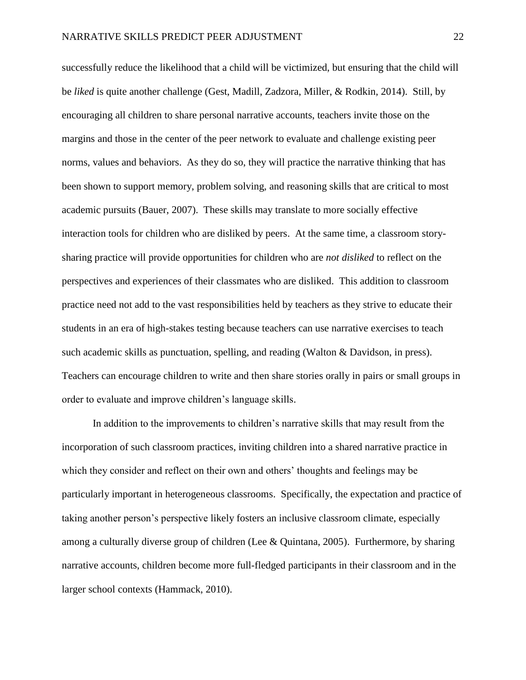successfully reduce the likelihood that a child will be victimized, but ensuring that the child will be *liked* is quite another challenge (Gest, Madill, Zadzora, Miller, & Rodkin, 2014). Still, by encouraging all children to share personal narrative accounts, teachers invite those on the margins and those in the center of the peer network to evaluate and challenge existing peer norms, values and behaviors. As they do so, they will practice the narrative thinking that has been shown to support memory, problem solving, and reasoning skills that are critical to most academic pursuits (Bauer, 2007). These skills may translate to more socially effective interaction tools for children who are disliked by peers. At the same time, a classroom storysharing practice will provide opportunities for children who are *not disliked* to reflect on the perspectives and experiences of their classmates who are disliked. This addition to classroom practice need not add to the vast responsibilities held by teachers as they strive to educate their students in an era of high-stakes testing because teachers can use narrative exercises to teach such academic skills as punctuation, spelling, and reading (Walton & Davidson, in press). Teachers can encourage children to write and then share stories orally in pairs or small groups in order to evaluate and improve children's language skills.

In addition to the improvements to children's narrative skills that may result from the incorporation of such classroom practices, inviting children into a shared narrative practice in which they consider and reflect on their own and others' thoughts and feelings may be particularly important in heterogeneous classrooms. Specifically, the expectation and practice of taking another person's perspective likely fosters an inclusive classroom climate, especially among a culturally diverse group of children (Lee & Quintana, 2005). Furthermore, by sharing narrative accounts, children become more full-fledged participants in their classroom and in the larger school contexts (Hammack, 2010).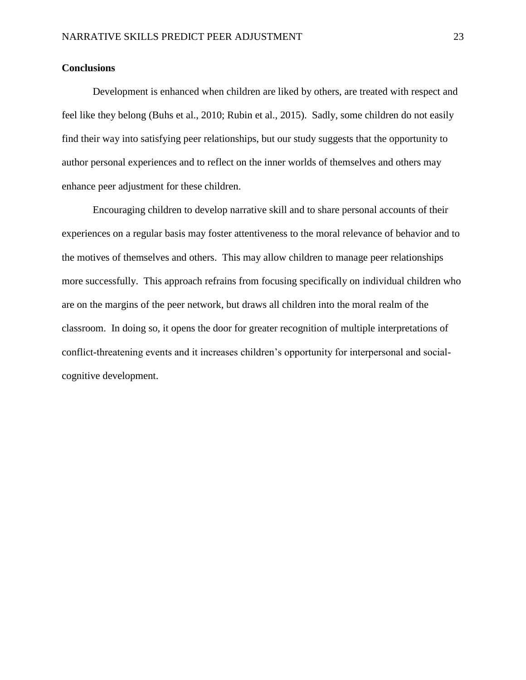#### **Conclusions**

Development is enhanced when children are liked by others, are treated with respect and feel like they belong (Buhs et al., 2010; Rubin et al., 2015). Sadly, some children do not easily find their way into satisfying peer relationships, but our study suggests that the opportunity to author personal experiences and to reflect on the inner worlds of themselves and others may enhance peer adjustment for these children.

Encouraging children to develop narrative skill and to share personal accounts of their experiences on a regular basis may foster attentiveness to the moral relevance of behavior and to the motives of themselves and others. This may allow children to manage peer relationships more successfully. This approach refrains from focusing specifically on individual children who are on the margins of the peer network, but draws all children into the moral realm of the classroom. In doing so, it opens the door for greater recognition of multiple interpretations of conflict-threatening events and it increases children's opportunity for interpersonal and socialcognitive development.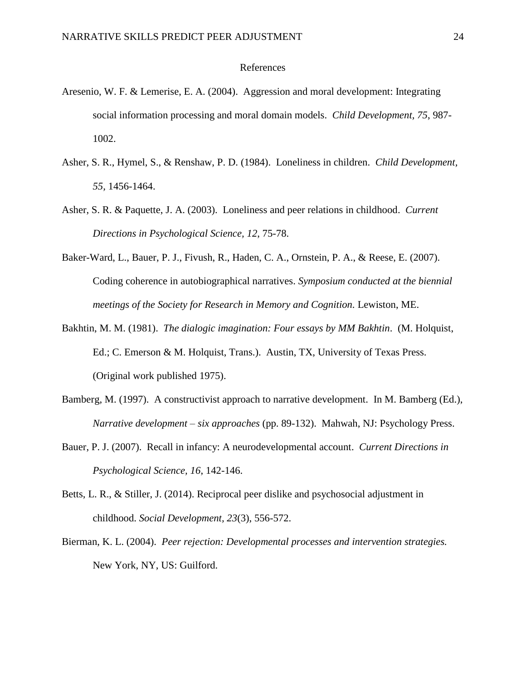#### References

- Aresenio, W. F. & Lemerise, E. A. (2004). Aggression and moral development: Integrating social information processing and moral domain models. *Child Development, 75*, 987- 1002.
- Asher, S. R., Hymel, S., & Renshaw, P. D. (1984). Loneliness in children. *Child Development, 55,* 1456-1464.
- Asher, S. R. & Paquette, J. A. (2003). Loneliness and peer relations in childhood. *Current Directions in Psychological Science, 12*, 75-78.
- Baker-Ward, L., Bauer, P. J., Fivush, R., Haden, C. A., Ornstein, P. A., & Reese, E. (2007). Coding coherence in autobiographical narratives. *Symposium conducted at the biennial meetings of the Society for Research in Memory and Cognition.* Lewiston, ME.
- Bakhtin, M. M. (1981). *The dialogic imagination: Four essays by MM Bakhtin*. (M. Holquist, Ed.; C. Emerson & M. Holquist, Trans.). Austin, TX, University of Texas Press. (Original work published 1975).
- Bamberg, M. (1997). A constructivist approach to narrative development. In M. Bamberg (Ed.), *Narrative development – six approaches* (pp. 89-132). Mahwah, NJ: Psychology Press.
- Bauer, P. J. (2007). Recall in infancy: A neurodevelopmental account. *Current Directions in Psychological Science, 16*, 142-146.
- Betts, L. R., & Stiller, J. (2014). Reciprocal peer dislike and psychosocial adjustment in childhood. *Social Development, 23*(3), 556-572.
- Bierman, K. L. (2004). *Peer rejection: Developmental processes and intervention strategies.*  New York, NY, US: Guilford.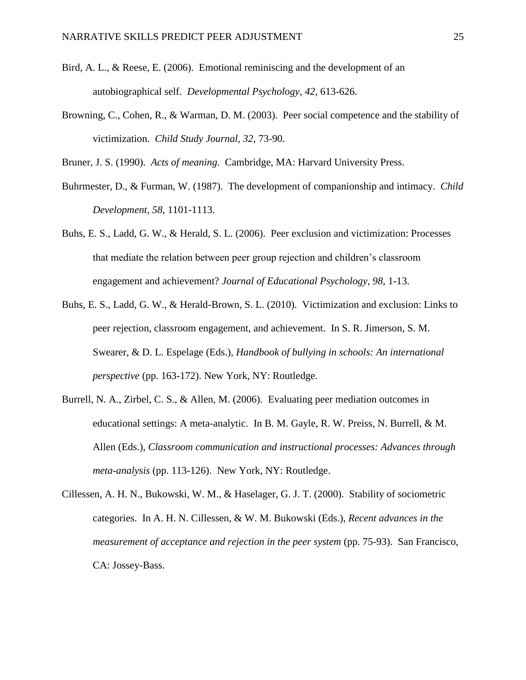- Bird, A. L., & Reese, E. (2006). Emotional reminiscing and the development of an autobiographical self. *Developmental Psychology, 42*, 613-626.
- Browning, C., Cohen, R., & Warman, D. M. (2003). Peer social competence and the stability of victimization. *Child Study Journal, 32*, 73-90.

Bruner, J. S. (1990). *Acts of meaning*. Cambridge, MA: Harvard University Press.

- Buhrmester, D., & Furman, W. (1987). The development of companionship and intimacy. *Child Development, 58*, 1101-1113.
- Buhs, E. S., Ladd, G. W., & Herald, S. L. (2006). Peer exclusion and victimization: Processes that mediate the relation between peer group rejection and children's classroom engagement and achievement? *Journal of Educational Psychology, 98*, 1-13.
- Buhs, E. S., Ladd, G. W., & Herald-Brown, S. L. (2010). Victimization and exclusion: Links to peer rejection, classroom engagement, and achievement. In S. R. Jimerson, S. M. Swearer, & D. L. Espelage (Eds.), *Handbook of bullying in schools: An international perspective* (pp. 163-172). New York, NY: Routledge.
- Burrell, N. A., Zirbel, C. S., & Allen, M. (2006). Evaluating peer mediation outcomes in educational settings: A meta-analytic. In B. M. Gayle, R. W. Preiss, N. Burrell, & M. Allen (Eds.), *Classroom communication and instructional processes: Advances through meta-analysis* (pp. 113-126). New York, NY: Routledge.
- Cillessen, A. H. N., Bukowski, W. M., & Haselager, G. J. T. (2000). Stability of sociometric categories. In A. H. N. Cillessen, & W. M. Bukowski (Eds.), *Recent advances in the measurement of acceptance and rejection in the peer system (pp. 75-93). San Francisco,* CA: Jossey-Bass.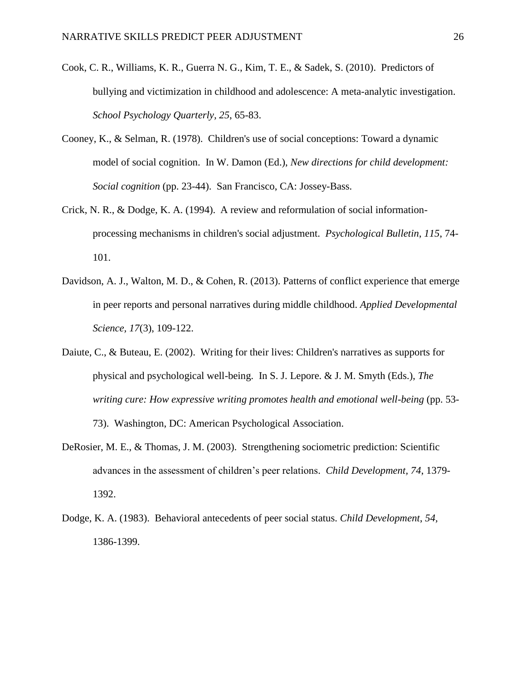- Cook, C. R., Williams, K. R., Guerra N. G., Kim, T. E., & Sadek, S. (2010). Predictors of bullying and victimization in childhood and adolescence: A meta-analytic investigation. *School Psychology Quarterly, 25*, 65-83.
- Cooney, K., & Selman, R. (1978). Children's use of social conceptions: Toward a dynamic model of social cognition. In W. Damon (Ed.), *New directions for child development: Social cognition* (pp. 23-44). San Francisco, CA: Jossey-Bass.
- Crick, N. R., & Dodge, K. A. (1994). A review and reformulation of social informationprocessing mechanisms in children's social adjustment. *Psychological Bulletin*, *115*, 74- 101.
- Davidson, A. J., Walton, M. D., & Cohen, R. (2013). Patterns of conflict experience that emerge in peer reports and personal narratives during middle childhood. *Applied Developmental Science, 17*(3), 109-122.
- Daiute, C., & Buteau, E. (2002). Writing for their lives: Children's narratives as supports for physical and psychological well-being. In S. J. Lepore. & J. M. Smyth (Eds.), *The writing cure: How expressive writing promotes health and emotional well-being* (pp. 53- 73). Washington, DC: American Psychological Association.
- DeRosier, M. E., & Thomas, J. M. (2003). Strengthening sociometric prediction: Scientific advances in the assessment of children's peer relations. *Child Development, 74*, 1379- 1392.
- Dodge, K. A. (1983). Behavioral antecedents of peer social status. *Child Development*, *54,* 1386-1399.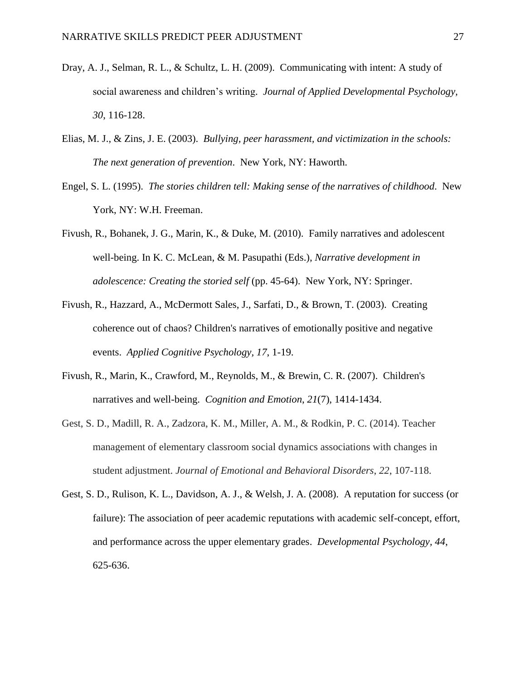- Dray, A. J., Selman, R. L., & Schultz, L. H. (2009). Communicating with intent: A study of social awareness and children's writing. *Journal of Applied Developmental Psychology, 30*, 116-128.
- Elias, M. J., & Zins, J. E. (2003). *Bullying, peer harassment, and victimization in the schools: The next generation of prevention*. New York, NY: Haworth.
- Engel, S. L. (1995). *The stories children tell: Making sense of the narratives of childhood*. New York, NY: W.H. Freeman.
- Fivush, R., Bohanek, J. G., Marin, K., & Duke, M. (2010). Family narratives and adolescent well-being. In K. C. McLean, & M. Pasupathi (Eds.), *Narrative development in adolescence: Creating the storied self* (pp. 45-64). New York, NY: Springer.
- Fivush, R., Hazzard, A., McDermott Sales, J., Sarfati, D., & Brown, T. (2003). Creating coherence out of chaos? Children's narratives of emotionally positive and negative events. *Applied Cognitive Psychology, 17*, 1-19.
- Fivush, R., Marin, K., Crawford, M., Reynolds, M., & Brewin, C. R. (2007). Children's narratives and well-being. *Cognition and Emotion*, *21*(7), 1414-1434.
- Gest, S. D., Madill, R. A., Zadzora, K. M., Miller, A. M., & Rodkin, P. C. (2014). Teacher management of elementary classroom social dynamics associations with changes in student adjustment. *Journal of Emotional and Behavioral Disorders*, *22*, 107-118.
- Gest, S. D., Rulison, K. L., Davidson, A. J., & Welsh, J. A. (2008). A reputation for success (or failure): The association of peer academic reputations with academic self-concept, effort, and performance across the upper elementary grades. *Developmental Psychology, 44*, 625-636.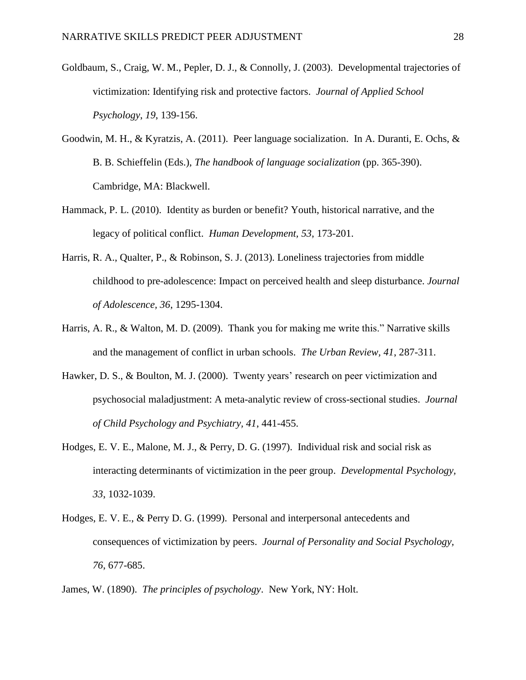- Goldbaum, S., Craig, W. M., Pepler, D. J., & Connolly, J. (2003). Developmental trajectories of victimization: Identifying risk and protective factors. *Journal of Applied School Psychology*, *19*, 139-156.
- Goodwin, M. H., & Kyratzis, A. (2011). Peer language socialization. In A. Duranti, E. Ochs, & B. B. Schieffelin (Eds.), *The handbook of language socialization* (pp. 365-390). Cambridge, MA: Blackwell.
- Hammack, P. L. (2010). Identity as burden or benefit? Youth, historical narrative, and the legacy of political conflict. *Human Development, 53*, 173-201.
- Harris, R. A., Qualter, P., & Robinson, S. J. (2013). Loneliness trajectories from middle childhood to pre-adolescence: Impact on perceived health and sleep disturbance. *Journal of Adolescence, 36*, 1295-1304.
- Harris, A. R., & Walton, M. D. (2009). Thank you for making me write this." Narrative skills and the management of conflict in urban schools. *The Urban Review, 41*, 287-311.
- Hawker, D. S., & Boulton, M. J. (2000). Twenty years' research on peer victimization and psychosocial maladjustment: A meta-analytic review of cross-sectional studies. *Journal of Child Psychology and Psychiatry, 41*, 441-455.
- Hodges, E. V. E., Malone, M. J., & Perry, D. G. (1997). Individual risk and social risk as interacting determinants of victimization in the peer group. *Developmental Psychology, 33*, 1032-1039.
- Hodges, E. V. E., & Perry D. G. (1999). Personal and interpersonal antecedents and consequences of victimization by peers. *Journal of Personality and Social Psychology, 76*, 677-685.
- James, W. (1890). *The principles of psychology*. New York, NY: Holt.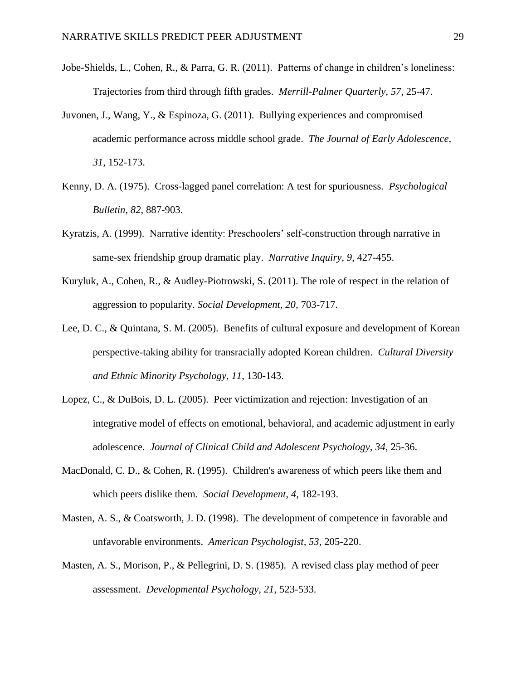- Jobe-Shields, L., Cohen, R., & Parra, G. R. (2011). Patterns of change in children's loneliness: Trajectories from third through fifth grades. *Merrill-Palmer Quarterly, 57*, 25-47.
- Juvonen, J., Wang, Y., & Espinoza, G. (2011). Bullying experiences and compromised academic performance across middle school grade. *The Journal of Early Adolescence, 31*, 152-173.
- Kenny, D. A. (1975). Cross-lagged panel correlation: A test for spuriousness. *Psychological Bulletin*, *82*, 887-903.
- Kyratzis, A. (1999). Narrative identity: Preschoolers' self-construction through narrative in same-sex friendship group dramatic play. *Narrative Inquiry, 9*, 427-455.
- Kuryluk, A., Cohen, R., & Audley-Piotrowski, S. (2011). The role of respect in the relation of aggression to popularity. *Social Development, 20,* 703-717.
- Lee, D. C., & Quintana, S. M. (2005). Benefits of cultural exposure and development of Korean perspective-taking ability for transracially adopted Korean children. *Cultural Diversity and Ethnic Minority Psychology*, *11*, 130-143.
- Lopez, C., & DuBois, D. L. (2005). Peer victimization and rejection: Investigation of an integrative model of effects on emotional, behavioral, and academic adjustment in early adolescence. *Journal of Clinical Child and Adolescent Psychology, 34*, 25-36.
- MacDonald, C. D., & Cohen, R. (1995). Children's awareness of which peers like them and which peers dislike them. *Social Development*, *4*, 182-193.
- Masten, A. S., & Coatsworth, J. D. (1998). The development of competence in favorable and unfavorable environments. *American Psychologist, 53*, 205-220.
- Masten, A. S., Morison, P., & Pellegrini, D. S. (1985). A revised class play method of peer assessment. *Developmental Psychology, 21*, 523-533.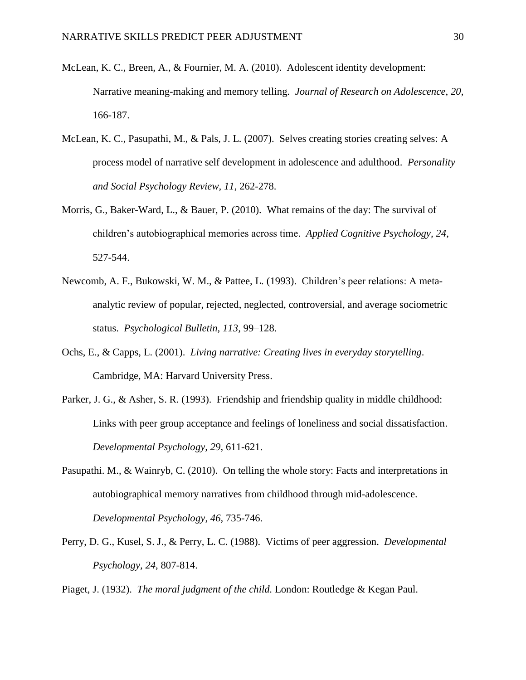- McLean, K. C., Breen, A., & Fournier, M. A. (2010). Adolescent identity development: Narrative meaning-making and memory telling. *Journal of Research on Adolescence*, *20*, 166-187.
- McLean, K. C., Pasupathi, M., & Pals, J. L. (2007). Selves creating stories creating selves: A process model of narrative self development in adolescence and adulthood. *Personality and Social Psychology Review, 11*, 262-278.
- Morris, G., Baker-Ward, L., & Bauer, P. (2010). What remains of the day: The survival of children's autobiographical memories across time. *Applied Cognitive Psychology, 24*, 527-544.
- Newcomb, A. F., Bukowski, W. M., & Pattee, L. (1993). Children's peer relations: A metaanalytic review of popular, rejected, neglected, controversial, and average sociometric status. *Psychological Bulletin, 113,* 99–128.
- Ochs, E., & Capps, L. (2001). *Living narrative: Creating lives in everyday storytelling*. Cambridge, MA: Harvard University Press.
- Parker, J. G., & Asher, S. R. (1993). Friendship and friendship quality in middle childhood: Links with peer group acceptance and feelings of loneliness and social dissatisfaction. *Developmental Psychology, 29*, 611-621.
- Pasupathi. M., & Wainryb, C. (2010). On telling the whole story: Facts and interpretations in autobiographical memory narratives from childhood through mid-adolescence. *Developmental Psychology*, *46,* 735-746.
- Perry, D. G., Kusel, S. J., & Perry, L. C. (1988). Victims of peer aggression. *Developmental Psychology, 24*, 807-814.

Piaget, J. (1932). *The moral judgment of the child.* London: Routledge & Kegan Paul.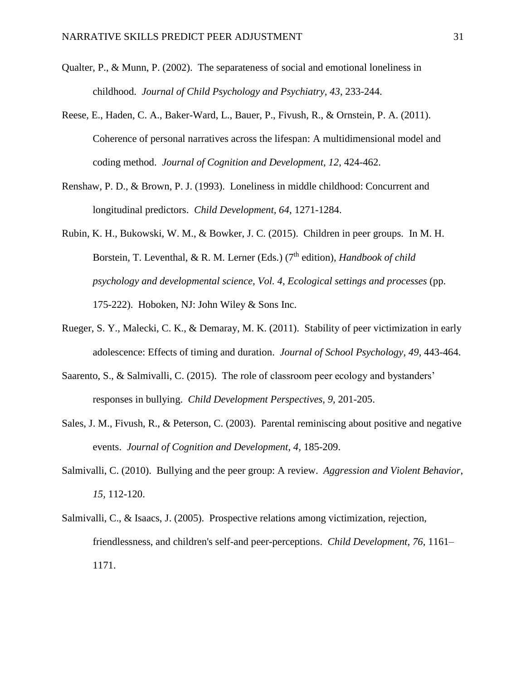- Qualter, P., & Munn, P. (2002). The separateness of social and emotional loneliness in childhood. *Journal of Child Psychology and Psychiatry, 43*, 233-244.
- Reese, E., Haden, C. A., Baker-Ward, L., Bauer, P., Fivush, R., & Ornstein, P. A. (2011). Coherence of personal narratives across the lifespan: A multidimensional model and coding method. *Journal of Cognition and Development, 12*, 424-462.
- Renshaw, P. D., & Brown, P. J. (1993). Loneliness in middle childhood: Concurrent and longitudinal predictors. *Child Development, 64*, 1271-1284.
- Rubin, K. H., Bukowski, W. M., & Bowker, J. C. (2015). Children in peer groups. In M. H. Borstein, T. Leventhal, & R. M. Lerner (Eds.) (7<sup>th</sup> edition), *Handbook of child psychology and developmental science, Vol. 4, Ecological settings and processes* (pp. 175-222). Hoboken, NJ: John Wiley & Sons Inc.
- Rueger, S. Y., Malecki, C. K., & Demaray, M. K. (2011). Stability of peer victimization in early adolescence: Effects of timing and duration. *Journal of School Psychology, 49*, 443-464.
- Saarento, S., & Salmivalli, C. (2015). The role of classroom peer ecology and bystanders' responses in bullying. *Child Development Perspectives, 9,* 201-205.
- Sales, J. M., Fivush, R., & Peterson, C. (2003). Parental reminiscing about positive and negative events. *Journal of Cognition and Development*, *4,* 185-209.
- Salmivalli, C. (2010). Bullying and the peer group: A review. *Aggression and Violent Behavior*, *15,* 112-120.
- Salmivalli, C., & Isaacs, J. (2005). Prospective relations among victimization, rejection, friendlessness, and children's self-and peer-perceptions. *Child Development, 76*, 1161– 1171.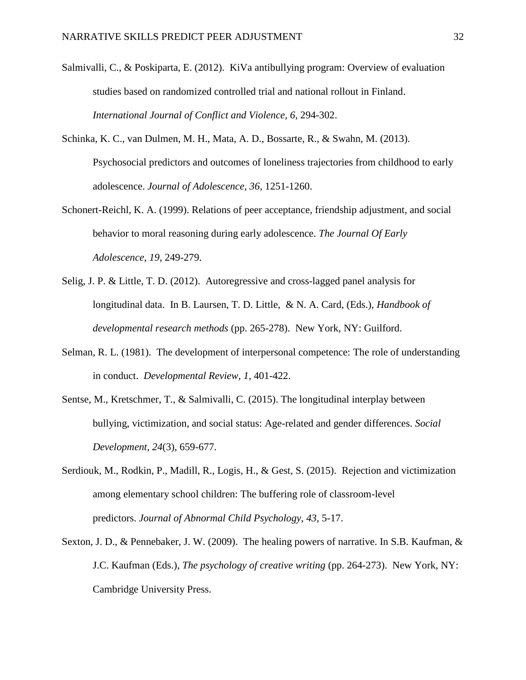- Salmivalli, C., & Poskiparta, E. (2012). KiVa antibullying program: Overview of evaluation studies based on randomized controlled trial and national rollout in Finland. *International Journal of Conflict and Violence, 6*, 294-302.
- Schinka, K. C., van Dulmen, M. H., Mata, A. D., Bossarte, R., & Swahn, M. (2013). Psychosocial predictors and outcomes of loneliness trajectories from childhood to early adolescence. *Journal of Adolescence, 36*, 1251-1260.
- Schonert-Reichl, K. A. (1999). Relations of peer acceptance, friendship adjustment, and social behavior to moral reasoning during early adolescence. *The Journal Of Early Adolescence*, *19*, 249-279.
- Selig, J. P. & Little, T. D. (2012). Autoregressive and cross-lagged panel analysis for longitudinal data. In B. Laursen, T. D. Little, & N. A. Card, (Eds.), *Handbook of developmental research methods* (pp. 265-278). New York, NY: Guilford.
- Selman, R. L. (1981). The development of interpersonal competence: The role of understanding in conduct. *Developmental Review, 1,* 401-422.
- Sentse, M., Kretschmer, T., & Salmivalli, C. (2015). The longitudinal interplay between bullying, victimization, and social status: Age-related and gender differences. *Social Development, 24*(3), 659-677.
- Serdiouk, M., Rodkin, P., Madill, R., Logis, H., & Gest, S. (2015). Rejection and victimization among elementary school children: The buffering role of classroom-level predictors. *Journal of Abnormal Child Psychology*, *43*, 5-17.
- Sexton, J. D., & Pennebaker, J. W. (2009). The healing powers of narrative. In S.B. Kaufman, & J.C. Kaufman (Eds.), *The psychology of creative writing* (pp. 264-273). New York, NY: Cambridge University Press.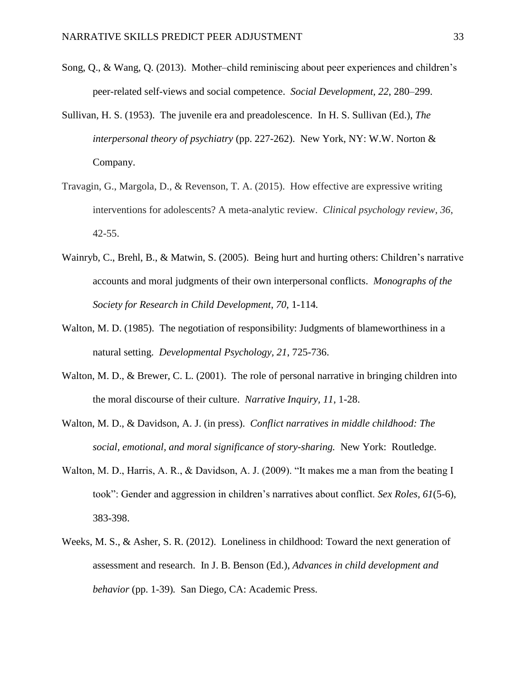- Song, Q., & Wang, Q. (2013). Mother–child reminiscing about peer experiences and children's peer-related self-views and social competence. *Social Development, 22*, 280–299.
- Sullivan, H. S. (1953). The juvenile era and preadolescence. In H. S. Sullivan (Ed.), *The interpersonal theory of psychiatry* (pp. 227-262). New York, NY: W.W. Norton & Company.
- Travagin, G., Margola, D., & Revenson, T. A. (2015). How effective are expressive writing interventions for adolescents? A meta-analytic review. *Clinical psychology review*, *36*, 42-55.
- Wainryb, C., Brehl, B., & Matwin, S. (2005). Being hurt and hurting others: Children's narrative accounts and moral judgments of their own interpersonal conflicts. *Monographs of the Society for Research in Child Development*, *70*, 1-114*.*
- Walton, M. D. (1985). The negotiation of responsibility: Judgments of blameworthiness in a natural setting. *Developmental Psychology, 21*, 725-736.
- Walton, M. D., & Brewer, C. L. (2001). The role of personal narrative in bringing children into the moral discourse of their culture. *Narrative Inquiry, 11*, 1-28.
- Walton, M. D., & Davidson, A. J. (in press). *Conflict narratives in middle childhood: The social, emotional, and moral significance of story-sharing.* New York: Routledge.
- Walton, M. D., Harris, A. R., & Davidson, A. J. (2009). "It makes me a man from the beating I took": Gender and aggression in children's narratives about conflict. *Sex Roles, 61*(5-6), 383-398.
- Weeks, M. S., & Asher, S. R. (2012). Loneliness in childhood: Toward the next generation of assessment and research. In J. B. Benson (Ed.), *Advances in child development and behavior* (pp. 1-39)*.* San Diego, CA: Academic Press.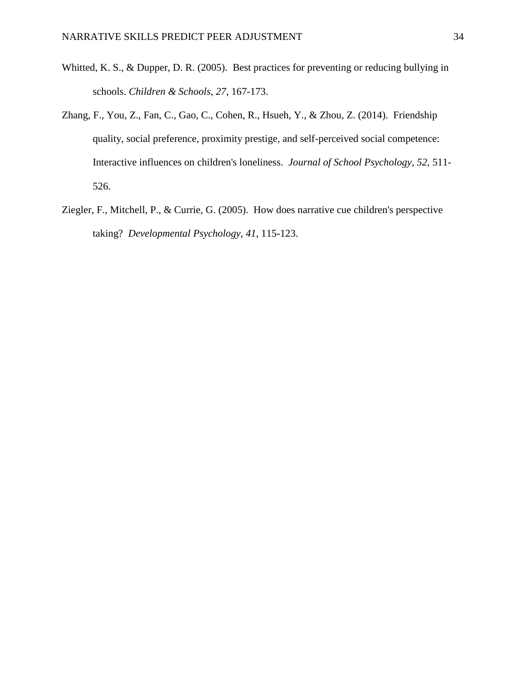- Whitted, K. S., & Dupper, D. R. (2005). Best practices for preventing or reducing bullying in schools. *Children & Schools, 27*, 167-173.
- Zhang, F., You, Z., Fan, C., Gao, C., Cohen, R., Hsueh, Y., & Zhou, Z. (2014). Friendship quality, social preference, proximity prestige, and self-perceived social competence: Interactive influences on children's loneliness. *Journal of School Psychology, 52*, 511- 526.
- Ziegler, F., Mitchell, P., & Currie, G. (2005). How does narrative cue children's perspective taking? *Developmental Psychology, 41*, 115-123.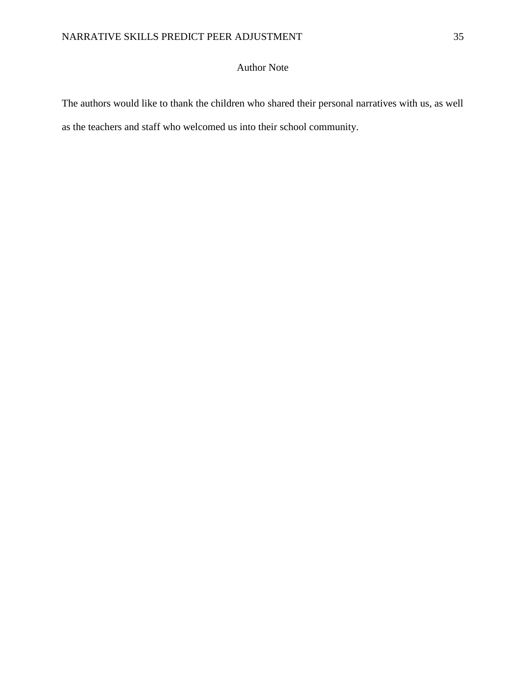#### Author Note

The authors would like to thank the children who shared their personal narratives with us, as well as the teachers and staff who welcomed us into their school community.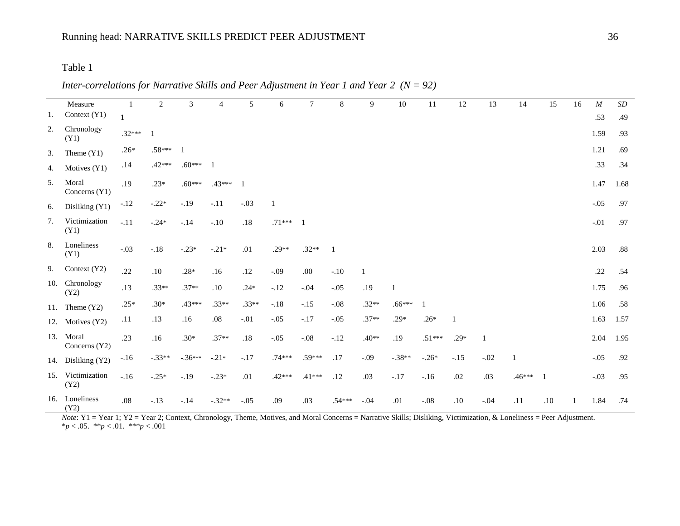### Table 1

| Inter-correlations for Narrative Skills and Peer Adjustment in Year 1 and Year 2 ( $N = 92$ ) |  |  |  |
|-----------------------------------------------------------------------------------------------|--|--|--|
|                                                                                               |  |  |  |

|     | Measure                |              | $\sqrt{2}$ | 3         | $\overline{4}$ | 5       | 6        | 7              | 8        | 9       | 10           | 11       | 12      | 13           | 14             | 15  | 16 | $\cal M$ | $\boldsymbol{SD}$ |
|-----|------------------------|--------------|------------|-----------|----------------|---------|----------|----------------|----------|---------|--------------|----------|---------|--------------|----------------|-----|----|----------|-------------------|
| 1.  | Context (Y1)           | $\mathbf{1}$ |            |           |                |         |          |                |          |         |              |          |         |              |                |     |    | .53      | .49               |
| 2.  | Chronology<br>(Y1)     | $.32***$     |            |           |                |         |          |                |          |         |              |          |         |              |                |     |    | 1.59     | .93               |
| 3.  | Theme $(Y1)$           | $.26*$       | $.58***$   |           |                |         |          |                |          |         |              |          |         |              |                |     |    | 1.21     | .69               |
| 4.  | Motives (Y1)           | .14          | $.42***$   | $.60***$  |                |         |          |                |          |         |              |          |         |              |                |     |    | .33      | .34               |
| 5.  | Moral<br>Concerns (Y1) | .19          | $.23*$     | $.60***$  | $.43***$       |         |          |                |          |         |              |          |         |              |                |     |    | 1.47     | 1.68              |
| 6.  | Disliking (Y1)         | $-.12$       | $-.22*$    | $-.19$    | $-.11$         | $-.03$  |          |                |          |         |              |          |         |              |                |     |    | $-.05$   | .97               |
| 7.  | Victimization<br>(Y1)  | $-.11$       | $-.24*$    | $-.14$    | $-.10$         | .18     | $.71***$ | $\overline{1}$ |          |         |              |          |         |              |                |     |    | $-.01$   | .97               |
| 8.  | Loneliness<br>(Y1)     | $-.03$       | $-.18$     | $-.23*$   | $-.21*$        | .01     | $.29**$  | $.32**$        | -1       |         |              |          |         |              |                |     |    | 2.03     | $.88\,$           |
| 9.  | Context (Y2)           | .22          | $.10\,$    | $.28*$    | .16            | .12     | $-.09$   | .00.           | $-.10$   | 1       |              |          |         |              |                |     |    | .22      | .54               |
| 10. | Chronology<br>(Y2)     | .13          | $.33**$    | $.37**$   | .10            | $.24*$  | $-.12$   | $-.04$         | $-.05$   | .19     | $\mathbf{1}$ |          |         |              |                |     |    | 1.75     | .96               |
| 11. | Theme $(Y2)$           | $.25*$       | $.30*$     | $.43***$  | $.33**$        | $.33**$ | $-.18$   | $-.15$         | $-.08$   | $.32**$ | $.66***$     |          |         |              |                |     |    | 1.06     | .58               |
| 12. | Motives (Y2)           | .11          | .13        | .16       | $.08\,$        | $-.01$  | $-.05$   | $-.17$         | $-.05$   | $.37**$ | $.29*$       | $.26*$   |         |              |                |     |    | 1.63     | 1.57              |
| 13. | Moral<br>Concerns (Y2) | .23          | .16        | $.30*$    | $.37**$        | $.18\,$ | $-.05$   | $-.08$         | $-.12$   | $.40**$ | .19          | $.51***$ | $.29*$  | $\mathbf{1}$ |                |     |    | 2.04     | 1.95              |
|     | 14. Disliking (Y2)     | $-16$        | $-.33**$   | $-.36***$ | $-21*$         | $-.17$  | $.74***$ | $.59***$       | .17      | $-.09$  | $-.38**$     | $-.26*$  | $-.15$  | $-.02$       | $\overline{1}$ |     |    | $-.05$   | .92               |
| 15. | Victimization<br>(Y2)  | $-.16$       | $-.25*$    | $-.19$    | $-.23*$        | .01     | $.42***$ | $.41***$       | .12      | .03     | $-.17$       | $-.16$   | .02     | .03          | $.46***$       |     |    | $-.03$   | .95               |
| 16. | Loneliness<br>(Y2)     | $.08\,$      | $-.13$     | $-.14$    | $-.32**$       | $-.05$  | .09      | .03            | $.54***$ | $-.04$  | .01          | $-.08$   | $.10\,$ | $-.04$       | .11            | .10 |    | 1.84     | .74               |

*Note*: Y1 = Year 1; Y2 = Year 2; Context, Chronology, Theme, Motives, and Moral Concerns = Narrative Skills; Disliking, Victimization, & Loneliness = Peer Adjustment.  $**p* < .05.$  \*\* *\*\*\** $*p* < .001$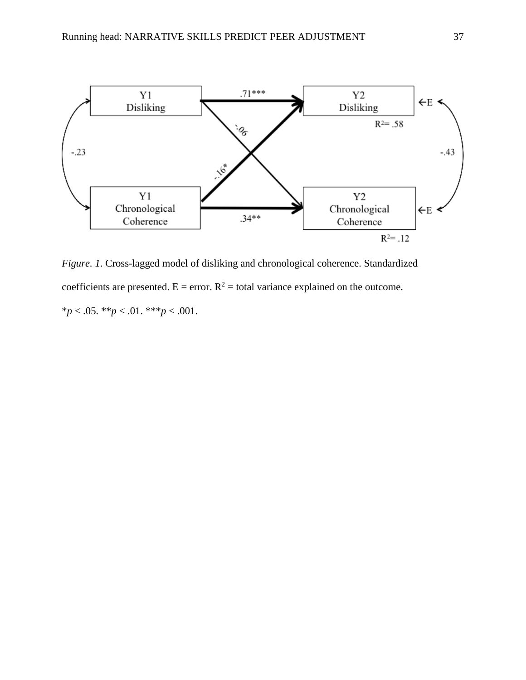

*Figure. 1*. Cross-lagged model of disliking and chronological coherence. Standardized coefficients are presented.  $E = error$ .  $R^2 = total$  variance explained on the outcome. \**p* < .05. \*\**p* < .01. \*\*\**p* < .001.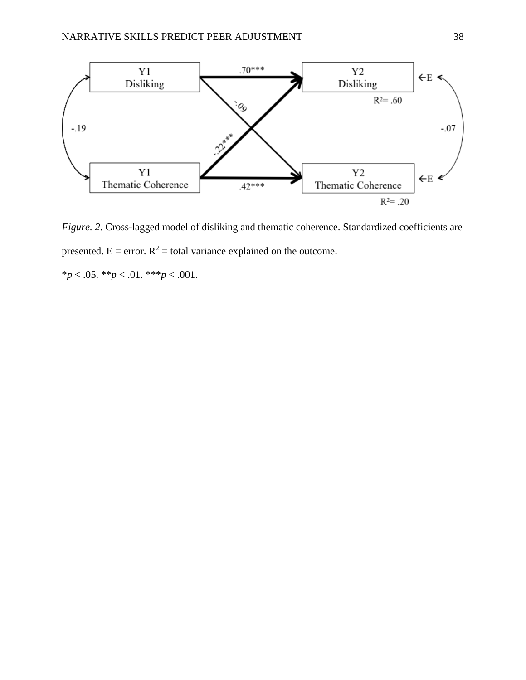

*Figure. 2*. Cross-lagged model of disliking and thematic coherence. Standardized coefficients are presented.  $E = error$ .  $R^2 = total variance explained on the outcome$ .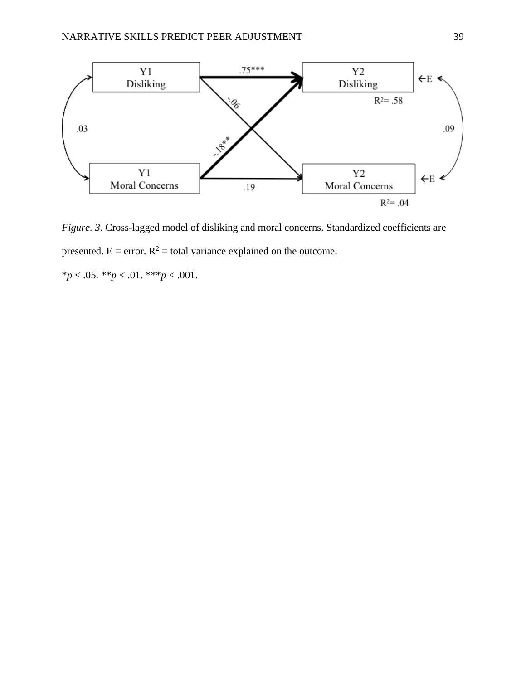

*Figure. 3.* Cross-lagged model of disliking and moral concerns. Standardized coefficients are presented.  $E = error$ .  $R^2 = total variance explained on the outcome$ .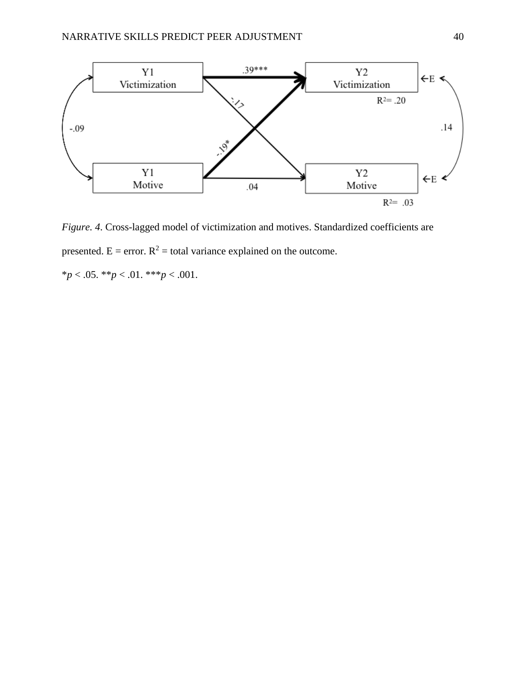

*Figure. 4*. Cross-lagged model of victimization and motives. Standardized coefficients are presented.  $E = error$ .  $R^2 = total variance explained on the outcome$ .